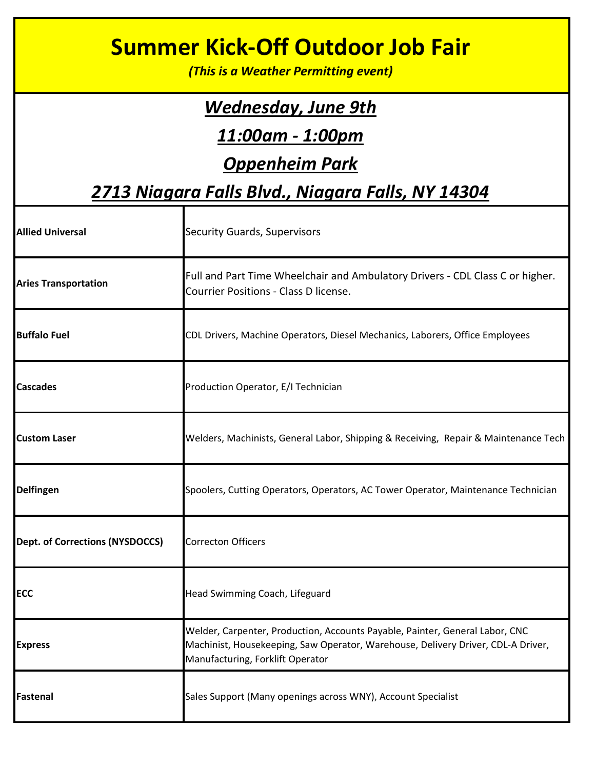| <b>Summer Kick-Off Outdoor Job Fair</b><br>(This is a Weather Permitting event) |                                                                                                                                                                                                      |  |
|---------------------------------------------------------------------------------|------------------------------------------------------------------------------------------------------------------------------------------------------------------------------------------------------|--|
| <u>Wednesday, June 9th</u>                                                      |                                                                                                                                                                                                      |  |
| 11:00am - 1:00pm                                                                |                                                                                                                                                                                                      |  |
| <b>Oppenheim Park</b>                                                           |                                                                                                                                                                                                      |  |
| 2713 Niagara Falls Blvd., Niagara Falls, NY 14304                               |                                                                                                                                                                                                      |  |
| <b>Allied Universal</b>                                                         | <b>Security Guards, Supervisors</b>                                                                                                                                                                  |  |
| <b>Aries Transportation</b>                                                     | Full and Part Time Wheelchair and Ambulatory Drivers - CDL Class C or higher.<br>Courrier Positions - Class D license.                                                                               |  |
| <b>Buffalo Fuel</b>                                                             | CDL Drivers, Machine Operators, Diesel Mechanics, Laborers, Office Employees                                                                                                                         |  |
| <b>Cascades</b>                                                                 | Production Operator, E/I Technician                                                                                                                                                                  |  |
| <b>Custom Laser</b>                                                             | Welders, Machinists, General Labor, Shipping & Receiving, Repair & Maintenance Tech                                                                                                                  |  |
| <b>Delfingen</b>                                                                | Spoolers, Cutting Operators, Operators, AC Tower Operator, Maintenance Technician                                                                                                                    |  |
| Dept. of Corrections (NYSDOCCS)                                                 | <b>Correcton Officers</b>                                                                                                                                                                            |  |
| <b>ECC</b>                                                                      | Head Swimming Coach, Lifeguard                                                                                                                                                                       |  |
| <b>Express</b>                                                                  | Welder, Carpenter, Production, Accounts Payable, Painter, General Labor, CNC<br>Machinist, Housekeeping, Saw Operator, Warehouse, Delivery Driver, CDL-A Driver,<br>Manufacturing, Forklift Operator |  |
| Fastenal                                                                        | Sales Support (Many openings across WNY), Account Specialist                                                                                                                                         |  |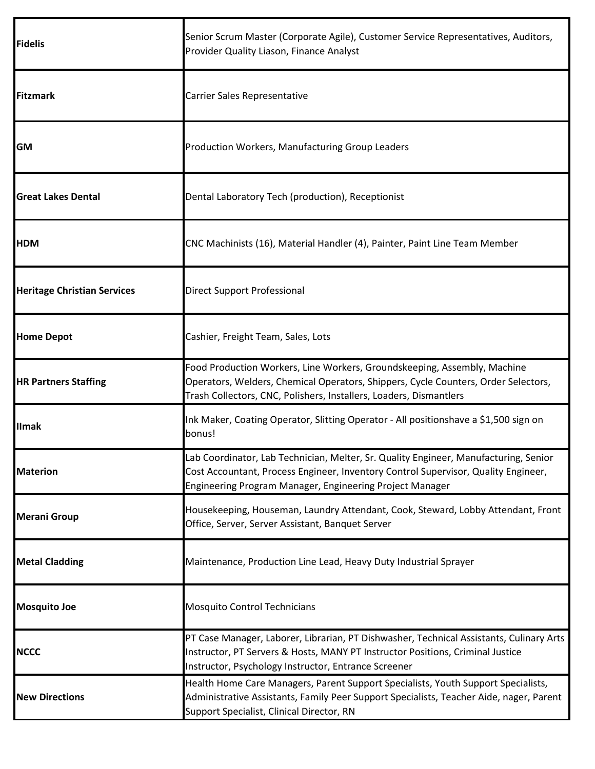| <b>Fidelis</b>                     | Senior Scrum Master (Corporate Agile), Customer Service Representatives, Auditors,<br>Provider Quality Liason, Finance Analyst                                                                                                         |
|------------------------------------|----------------------------------------------------------------------------------------------------------------------------------------------------------------------------------------------------------------------------------------|
| <b>Fitzmark</b>                    | Carrier Sales Representative                                                                                                                                                                                                           |
| GM                                 | Production Workers, Manufacturing Group Leaders                                                                                                                                                                                        |
| <b>Great Lakes Dental</b>          | Dental Laboratory Tech (production), Receptionist                                                                                                                                                                                      |
| <b>HDM</b>                         | CNC Machinists (16), Material Handler (4), Painter, Paint Line Team Member                                                                                                                                                             |
| <b>Heritage Christian Services</b> | <b>Direct Support Professional</b>                                                                                                                                                                                                     |
| <b>Home Depot</b>                  | Cashier, Freight Team, Sales, Lots                                                                                                                                                                                                     |
| <b>HR Partners Staffing</b>        | Food Production Workers, Line Workers, Groundskeeping, Assembly, Machine<br>Operators, Welders, Chemical Operators, Shippers, Cycle Counters, Order Selectors,<br>Trash Collectors, CNC, Polishers, Installers, Loaders, Dismantlers   |
| <b>Ilmak</b>                       | Ink Maker, Coating Operator, Slitting Operator - All positionshave a \$1,500 sign on<br>bonus!                                                                                                                                         |
| <b>Materion</b>                    | Lab Coordinator, Lab Technician, Melter, Sr. Quality Engineer, Manufacturing, Senior<br>Cost Accountant, Process Engineer, Inventory Control Supervisor, Quality Engineer,<br>Engineering Program Manager, Engineering Project Manager |
| <b>Merani Group</b>                | Housekeeping, Houseman, Laundry Attendant, Cook, Steward, Lobby Attendant, Front<br>Office, Server, Server Assistant, Banquet Server                                                                                                   |
| <b>Metal Cladding</b>              | Maintenance, Production Line Lead, Heavy Duty Industrial Sprayer                                                                                                                                                                       |
| <b>Mosquito Joe</b>                | <b>Mosquito Control Technicians</b>                                                                                                                                                                                                    |
| <b>NCCC</b>                        | PT Case Manager, Laborer, Librarian, PT Dishwasher, Technical Assistants, Culinary Arts<br>Instructor, PT Servers & Hosts, MANY PT Instructor Positions, Criminal Justice<br>Instructor, Psychology Instructor, Entrance Screener      |
| <b>New Directions</b>              | Health Home Care Managers, Parent Support Specialists, Youth Support Specialists,<br>Administrative Assistants, Family Peer Support Specialists, Teacher Aide, nager, Parent<br>Support Specialist, Clinical Director, RN              |